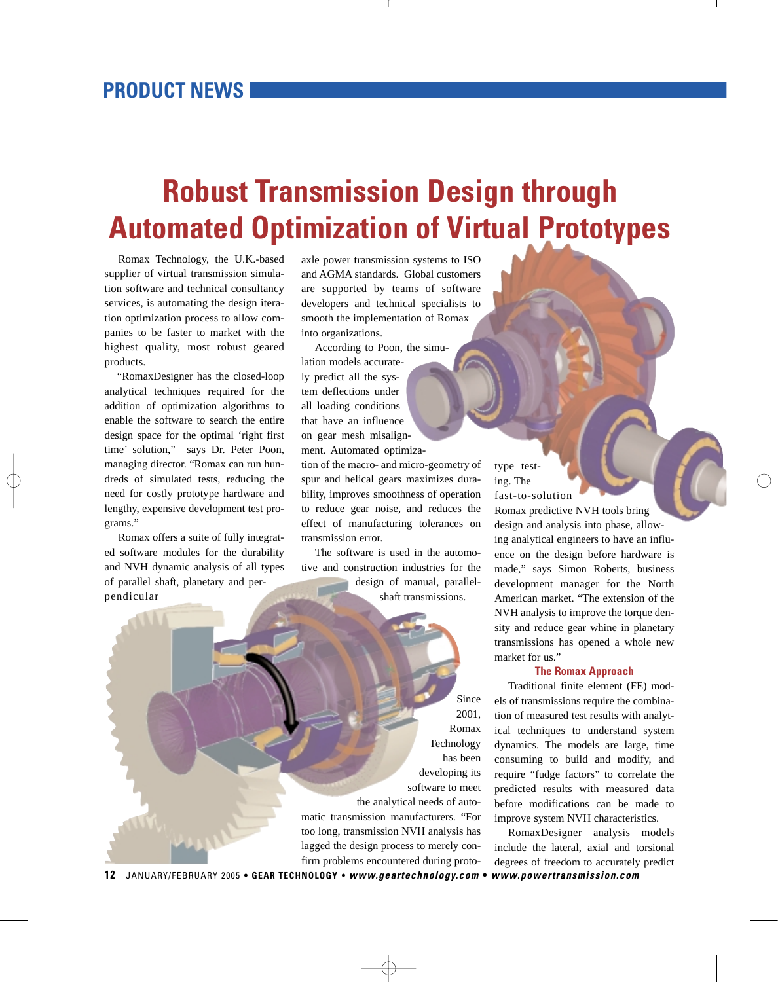## **Robust Transmission Design through Automated Optimization of Virtual Prototypes**

Romax Technology, the U.K.-based supplier of virtual transmission simulation software and technical consultancy services, is automating the design iteration optimization process to allow companies to be faster to market with the highest quality, most robust geared products.

"RomaxDesigner has the closed-loop analytical techniques required for the addition of optimization algorithms to enable the software to search the entire design space for the optimal 'right first time' solution," says Dr. Peter Poon, managing director. "Romax can run hundreds of simulated tests, reducing the need for costly prototype hardware and lengthy, expensive development test programs."

Romax offers a suite of fully integrated software modules for the durability and NVH dynamic analysis of all types of parallel shaft, planetary and perpendicular

axle power transmission systems to ISO and AGMA standards. Global customers are supported by teams of software developers and technical specialists to smooth the implementation of Romax into organizations.

According to Poon, the simulation models accurately predict all the system deflections under all loading conditions that have an influence on gear mesh misalignment. Automated optimization of the macro- and micro-geometry of

spur and helical gears maximizes durability, improves smoothness of operation to reduce gear noise, and reduces the effect of manufacturing tolerances on transmission error.

The software is used in the automotive and construction industries for the design of manual, parallel-

shaft transmissions.

Since 2001, Romax Technology has been developing its software to meet the analytical needs of automatic transmission manufacturers. "For too long, transmission NVH analysis has lagged the design process to merely confirm problems encountered during proto-

type testing. The fast-to-solution

Romax predictive NVH tools bring design and analysis into phase, allowing analytical engineers to have an influence on the design before hardware is made," says Simon Roberts, business development manager for the North American market. "The extension of the NVH analysis to improve the torque density and reduce gear whine in planetary transmissions has opened a whole new market for us."

## **The Romax Approach**

Traditional finite element (FE) models of transmissions require the combination of measured test results with analytical techniques to understand system dynamics. The models are large, time consuming to build and modify, and require "fudge factors" to correlate the predicted results with measured data before modifications can be made to improve system NVH characteristics.

RomaxDesigner analysis models include the lateral, axial and torsional degrees of freedom to accurately predict

**12** JANUARY/FEBRUARY 2005 **• GEAR TECHNOLOGY •** *[www.geartechnology.com](http://www.geartechnology.com/cgi-bin/pa/gtredirect.cgi?http://www.geartechnology.com)* **•** *[www.powertransmission.com](http://www.geartechnology.com/cgi-bin/pa/gtredirect.cgi?http://www.powertransmission.com)*